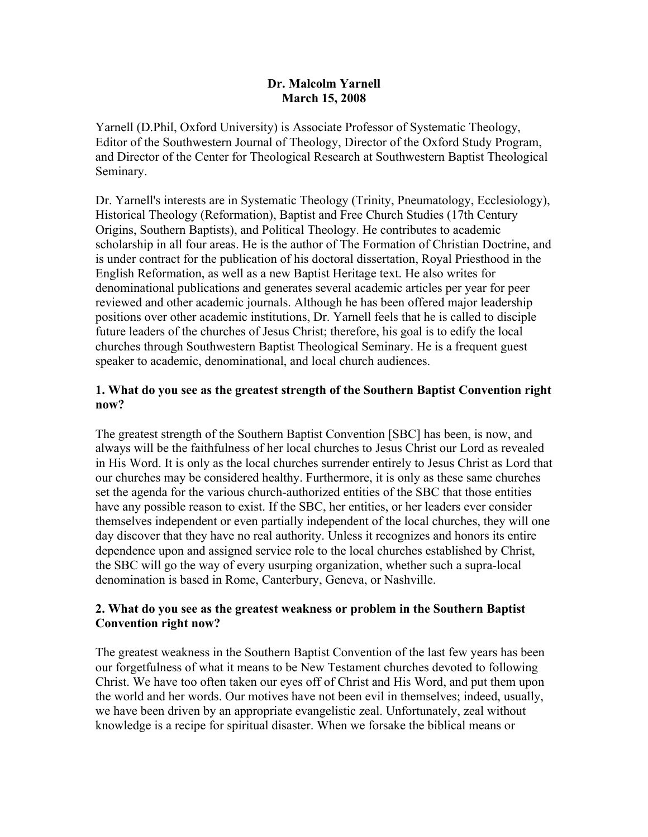### **Dr. Malcolm Yarnell March 15, 2008**

Yarnell (D.Phil, Oxford University) is Associate Professor of Systematic Theology, Editor of the Southwestern Journal of Theology, Director of the Oxford Study Program, and Director of the Center for Theological Research at Southwestern Baptist Theological Seminary.

Dr. Yarnell's interests are in Systematic Theology (Trinity, Pneumatology, Ecclesiology), Historical Theology (Reformation), Baptist and Free Church Studies (17th Century Origins, Southern Baptists), and Political Theology. He contributes to academic scholarship in all four areas. He is the author of The Formation of Christian Doctrine, and is under contract for the publication of his doctoral dissertation, Royal Priesthood in the English Reformation, as well as a new Baptist Heritage text. He also writes for denominational publications and generates several academic articles per year for peer reviewed and other academic journals. Although he has been offered major leadership positions over other academic institutions, Dr. Yarnell feels that he is called to disciple future leaders of the churches of Jesus Christ; therefore, his goal is to edify the local churches through Southwestern Baptist Theological Seminary. He is a frequent guest speaker to academic, denominational, and local church audiences.

# **1. What do you see as the greatest strength of the Southern Baptist Convention right now?**

The greatest strength of the Southern Baptist Convention [SBC] has been, is now, and always will be the faithfulness of her local churches to Jesus Christ our Lord as revealed in His Word. It is only as the local churches surrender entirely to Jesus Christ as Lord that our churches may be considered healthy. Furthermore, it is only as these same churches set the agenda for the various church-authorized entities of the SBC that those entities have any possible reason to exist. If the SBC, her entities, or her leaders ever consider themselves independent or even partially independent of the local churches, they will one day discover that they have no real authority. Unless it recognizes and honors its entire dependence upon and assigned service role to the local churches established by Christ, the SBC will go the way of every usurping organization, whether such a supra-local denomination is based in Rome, Canterbury, Geneva, or Nashville.

# **2. What do you see as the greatest weakness or problem in the Southern Baptist Convention right now?**

The greatest weakness in the Southern Baptist Convention of the last few years has been our forgetfulness of what it means to be New Testament churches devoted to following Christ. We have too often taken our eyes off of Christ and His Word, and put them upon the world and her words. Our motives have not been evil in themselves; indeed, usually, we have been driven by an appropriate evangelistic zeal. Unfortunately, zeal without knowledge is a recipe for spiritual disaster. When we forsake the biblical means or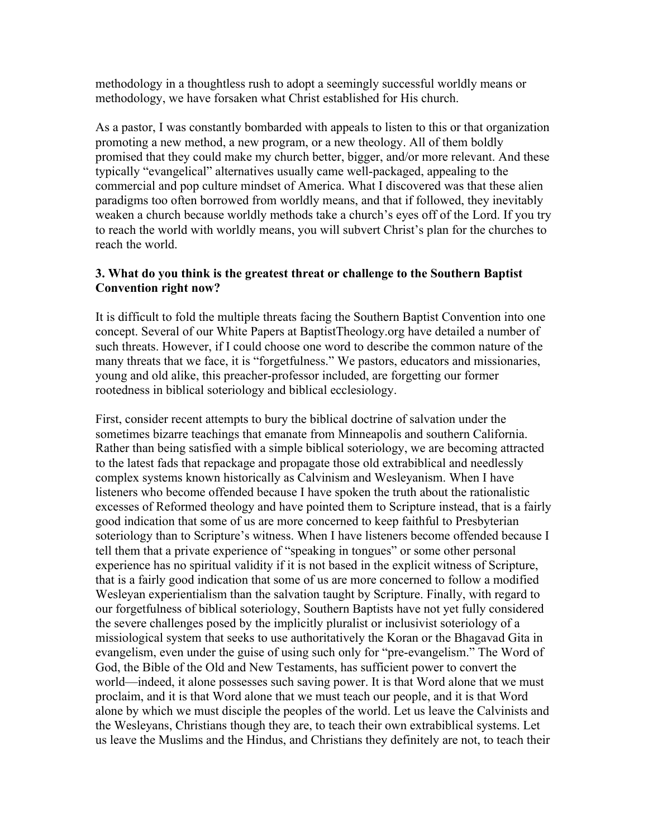methodology in a thoughtless rush to adopt a seemingly successful worldly means or methodology, we have forsaken what Christ established for His church.

As a pastor, I was constantly bombarded with appeals to listen to this or that organization promoting a new method, a new program, or a new theology. All of them boldly promised that they could make my church better, bigger, and/or more relevant. And these typically "evangelical" alternatives usually came well-packaged, appealing to the commercial and pop culture mindset of America. What I discovered was that these alien paradigms too often borrowed from worldly means, and that if followed, they inevitably weaken a church because worldly methods take a church's eyes off of the Lord. If you try to reach the world with worldly means, you will subvert Christ's plan for the churches to reach the world.

### **3. What do you think is the greatest threat or challenge to the Southern Baptist Convention right now?**

It is difficult to fold the multiple threats facing the Southern Baptist Convention into one concept. Several of our White Papers at BaptistTheology.org have detailed a number of such threats. However, if I could choose one word to describe the common nature of the many threats that we face, it is "forgetfulness." We pastors, educators and missionaries, young and old alike, this preacher-professor included, are forgetting our former rootedness in biblical soteriology and biblical ecclesiology.

First, consider recent attempts to bury the biblical doctrine of salvation under the sometimes bizarre teachings that emanate from Minneapolis and southern California. Rather than being satisfied with a simple biblical soteriology, we are becoming attracted to the latest fads that repackage and propagate those old extrabiblical and needlessly complex systems known historically as Calvinism and Wesleyanism. When I have listeners who become offended because I have spoken the truth about the rationalistic excesses of Reformed theology and have pointed them to Scripture instead, that is a fairly good indication that some of us are more concerned to keep faithful to Presbyterian soteriology than to Scripture's witness. When I have listeners become offended because I tell them that a private experience of "speaking in tongues" or some other personal experience has no spiritual validity if it is not based in the explicit witness of Scripture, that is a fairly good indication that some of us are more concerned to follow a modified Wesleyan experientialism than the salvation taught by Scripture. Finally, with regard to our forgetfulness of biblical soteriology, Southern Baptists have not yet fully considered the severe challenges posed by the implicitly pluralist or inclusivist soteriology of a missiological system that seeks to use authoritatively the Koran or the Bhagavad Gita in evangelism, even under the guise of using such only for "pre-evangelism." The Word of God, the Bible of the Old and New Testaments, has sufficient power to convert the world—indeed, it alone possesses such saving power. It is that Word alone that we must proclaim, and it is that Word alone that we must teach our people, and it is that Word alone by which we must disciple the peoples of the world. Let us leave the Calvinists and the Wesleyans, Christians though they are, to teach their own extrabiblical systems. Let us leave the Muslims and the Hindus, and Christians they definitely are not, to teach their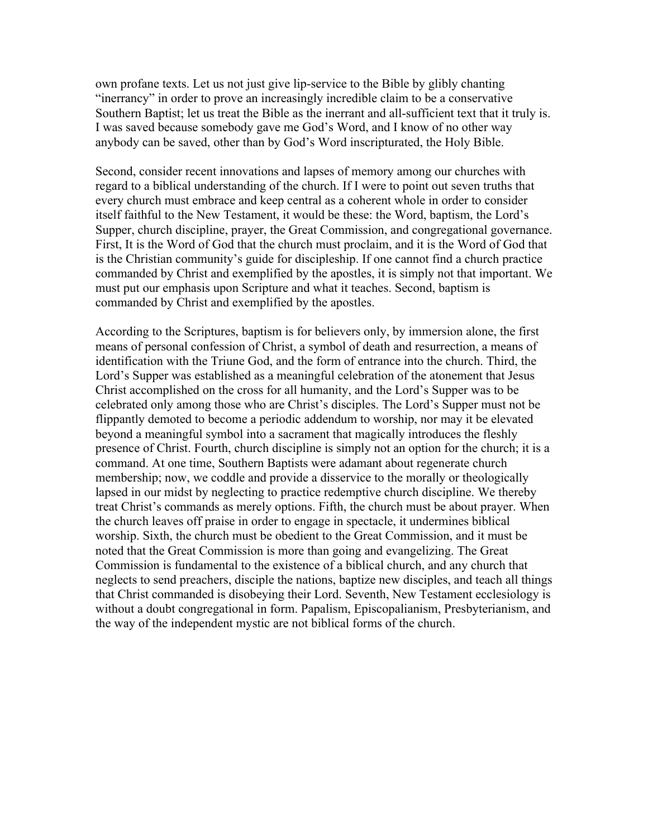own profane texts. Let us not just give lip-service to the Bible by glibly chanting "inerrancy" in order to prove an increasingly incredible claim to be a conservative Southern Baptist; let us treat the Bible as the inerrant and all-sufficient text that it truly is. I was saved because somebody gave me God's Word, and I know of no other way anybody can be saved, other than by God's Word inscripturated, the Holy Bible.

Second, consider recent innovations and lapses of memory among our churches with regard to a biblical understanding of the church. If I were to point out seven truths that every church must embrace and keep central as a coherent whole in order to consider itself faithful to the New Testament, it would be these: the Word, baptism, the Lord's Supper, church discipline, prayer, the Great Commission, and congregational governance. First, It is the Word of God that the church must proclaim, and it is the Word of God that is the Christian community's guide for discipleship. If one cannot find a church practice commanded by Christ and exemplified by the apostles, it is simply not that important. We must put our emphasis upon Scripture and what it teaches. Second, baptism is commanded by Christ and exemplified by the apostles.

According to the Scriptures, baptism is for believers only, by immersion alone, the first means of personal confession of Christ, a symbol of death and resurrection, a means of identification with the Triune God, and the form of entrance into the church. Third, the Lord's Supper was established as a meaningful celebration of the atonement that Jesus Christ accomplished on the cross for all humanity, and the Lord's Supper was to be celebrated only among those who are Christ's disciples. The Lord's Supper must not be flippantly demoted to become a periodic addendum to worship, nor may it be elevated beyond a meaningful symbol into a sacrament that magically introduces the fleshly presence of Christ. Fourth, church discipline is simply not an option for the church; it is a command. At one time, Southern Baptists were adamant about regenerate church membership; now, we coddle and provide a disservice to the morally or theologically lapsed in our midst by neglecting to practice redemptive church discipline. We thereby treat Christ's commands as merely options. Fifth, the church must be about prayer. When the church leaves off praise in order to engage in spectacle, it undermines biblical worship. Sixth, the church must be obedient to the Great Commission, and it must be noted that the Great Commission is more than going and evangelizing. The Great Commission is fundamental to the existence of a biblical church, and any church that neglects to send preachers, disciple the nations, baptize new disciples, and teach all things that Christ commanded is disobeying their Lord. Seventh, New Testament ecclesiology is without a doubt congregational in form. Papalism, Episcopalianism, Presbyterianism, and the way of the independent mystic are not biblical forms of the church.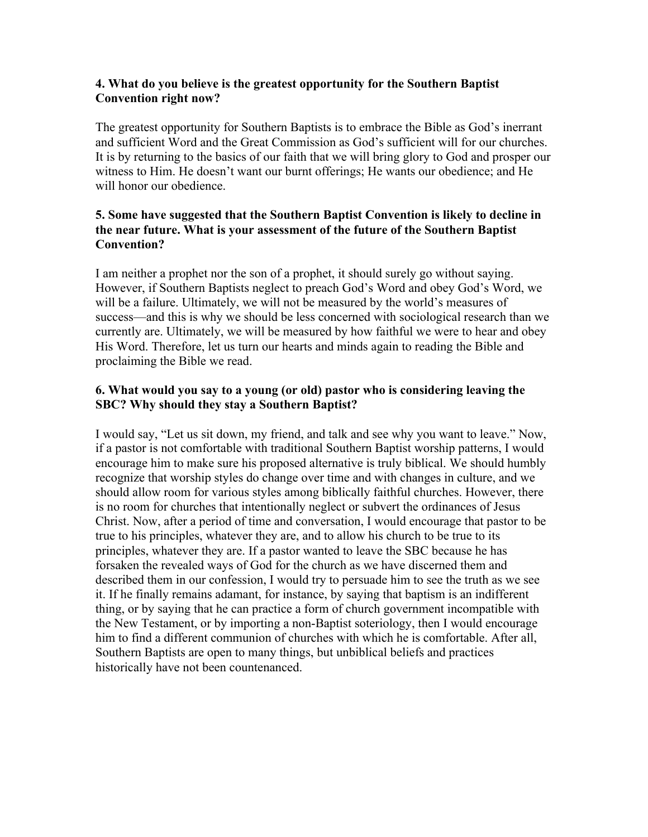### **4. What do you believe is the greatest opportunity for the Southern Baptist Convention right now?**

The greatest opportunity for Southern Baptists is to embrace the Bible as God's inerrant and sufficient Word and the Great Commission as God's sufficient will for our churches. It is by returning to the basics of our faith that we will bring glory to God and prosper our witness to Him. He doesn't want our burnt offerings; He wants our obedience; and He will honor our obedience.

# **5. Some have suggested that the Southern Baptist Convention is likely to decline in the near future. What is your assessment of the future of the Southern Baptist Convention?**

I am neither a prophet nor the son of a prophet, it should surely go without saying. However, if Southern Baptists neglect to preach God's Word and obey God's Word, we will be a failure. Ultimately, we will not be measured by the world's measures of success—and this is why we should be less concerned with sociological research than we currently are. Ultimately, we will be measured by how faithful we were to hear and obey His Word. Therefore, let us turn our hearts and minds again to reading the Bible and proclaiming the Bible we read.

# **6. What would you say to a young (or old) pastor who is considering leaving the SBC? Why should they stay a Southern Baptist?**

I would say, "Let us sit down, my friend, and talk and see why you want to leave." Now, if a pastor is not comfortable with traditional Southern Baptist worship patterns, I would encourage him to make sure his proposed alternative is truly biblical. We should humbly recognize that worship styles do change over time and with changes in culture, and we should allow room for various styles among biblically faithful churches. However, there is no room for churches that intentionally neglect or subvert the ordinances of Jesus Christ. Now, after a period of time and conversation, I would encourage that pastor to be true to his principles, whatever they are, and to allow his church to be true to its principles, whatever they are. If a pastor wanted to leave the SBC because he has forsaken the revealed ways of God for the church as we have discerned them and described them in our confession, I would try to persuade him to see the truth as we see it. If he finally remains adamant, for instance, by saying that baptism is an indifferent thing, or by saying that he can practice a form of church government incompatible with the New Testament, or by importing a non-Baptist soteriology, then I would encourage him to find a different communion of churches with which he is comfortable. After all, Southern Baptists are open to many things, but unbiblical beliefs and practices historically have not been countenanced.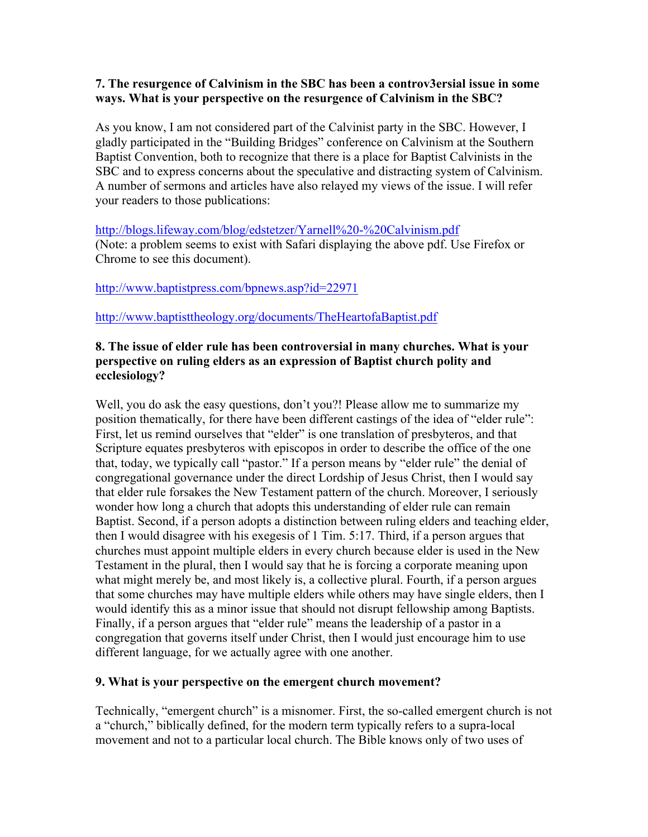### **7. The resurgence of Calvinism in the SBC has been a controv3ersial issue in some ways. What is your perspective on the resurgence of Calvinism in the SBC?**

As you know, I am not considered part of the Calvinist party in the SBC. However, I gladly participated in the "Building Bridges" conference on Calvinism at the Southern Baptist Convention, both to recognize that there is a place for Baptist Calvinists in the SBC and to express concerns about the speculative and distracting system of Calvinism. A number of sermons and articles have also relayed my views of the issue. I will refer your readers to those publications:

http://blogs.lifeway.com/blog/edstetzer/Yarnell%20-%20Calvinism.pdf (Note: a problem seems to exist with Safari displaying the above pdf. Use Firefox or Chrome to see this document).

# http://www.baptistpress.com/bpnews.asp?id=22971

# http://www.baptisttheology.org/documents/TheHeartofaBaptist.pdf

### **8. The issue of elder rule has been controversial in many churches. What is your perspective on ruling elders as an expression of Baptist church polity and ecclesiology?**

Well, you do ask the easy questions, don't you?! Please allow me to summarize my position thematically, for there have been different castings of the idea of "elder rule": First, let us remind ourselves that "elder" is one translation of presbyteros, and that Scripture equates presbyteros with episcopos in order to describe the office of the one that, today, we typically call "pastor." If a person means by "elder rule" the denial of congregational governance under the direct Lordship of Jesus Christ, then I would say that elder rule forsakes the New Testament pattern of the church. Moreover, I seriously wonder how long a church that adopts this understanding of elder rule can remain Baptist. Second, if a person adopts a distinction between ruling elders and teaching elder, then I would disagree with his exegesis of 1 Tim. 5:17. Third, if a person argues that churches must appoint multiple elders in every church because elder is used in the New Testament in the plural, then I would say that he is forcing a corporate meaning upon what might merely be, and most likely is, a collective plural. Fourth, if a person argues that some churches may have multiple elders while others may have single elders, then I would identify this as a minor issue that should not disrupt fellowship among Baptists. Finally, if a person argues that "elder rule" means the leadership of a pastor in a congregation that governs itself under Christ, then I would just encourage him to use different language, for we actually agree with one another.

#### **9. What is your perspective on the emergent church movement?**

Technically, "emergent church" is a misnomer. First, the so-called emergent church is not a "church," biblically defined, for the modern term typically refers to a supra-local movement and not to a particular local church. The Bible knows only of two uses of